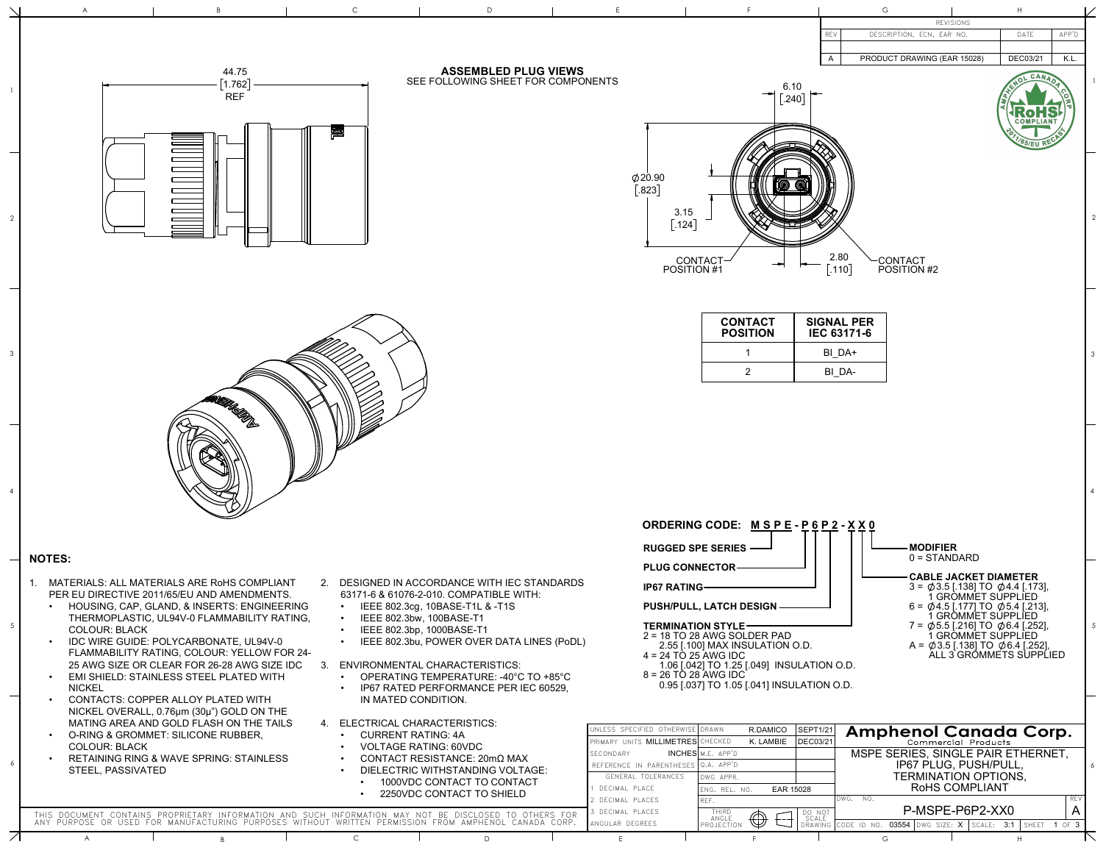

- PER EU DIRECTIVE 2011/65/EU AND AMENDMENTS.
	- HOUSING, CAP, GLAND, & INSERTS: ENGINEERING THERMOPLASTIC, UL94V-0 FLAMMABILITY RATING, COLOUR: BLACK
	- IDC WIRE GUIDE: POLYCARBONATE, UL94V-0 FLAMMABILITY RATING, COLOUR: YELLOW FOR 24- 25 AWG SIZE OR CLEAR FOR 26-28 AWG SIZE IDC **EMI SHIELD: STAINLESS STEEL PLATED WITH**
	- NICKEL • CONTACTS: COPPER ALLOY PLATED WITH
	- NICKEL OVERALL, 0.76μm (30μ") GOLD ON THE MATING AREA AND GOLD FLASH ON THE TAILS
	- O-RING & GROMMET: SILICONE RUBBER, COLOUR: BLACK
	- RETAINING RING & WAVE SPRING: STAINLESS STEEL, PASSIVATED

6

才

5

4

3

 $\gamma$ 

1

- 63171-6 & 61076-2-010. COMPATIBLE WITH:
- IEEE 802.3cg, 10BASE-T1L & -T1S
- IEEE 802.3bw, 100BASE-T1
- IEEE 802.3bp, 1000BASE-T1
- IEEE 802.3bu, POWER OVER DATA LINES (PoDL)

3. ENVIRONMENTAL CHARACTERISTICS:

- OPERATING TEMPERATURE: -40°C TO +85°C
- IP67 RATED PERFORMANCE PER IEC 60529, IN MATED CONDITION.
- 4. ELECTRICAL CHARACTERISTICS:
	- CURRENT RATING: 4A
	- VOLTAGE RATING: 60VDC
	- CONTACT RESISTANCE: 20mΩ MAX • DIELECTRIC WITHSTANDING VOLTAGE: • 1000VDC CONTACT TO CONTACT

A I B I C I D I E I F I G I H



3

2

1

4

5

- 4 = 24 TO 25 AWG IDC 1.06 [.042] TO 1.25 [.049] INSULATION O.D.
- 8 = 26 TO 28 AWG IDC
- 0.95 [.037] TO 1.05 [.041] INSULATION O.D.

| MATING AREA AND GOLD FLASH ON THE TAILS<br>O-RING & GROMMET: SILICONE RUBBER.<br><b>COLOUR: BLACK</b><br><b>RETAINING RING &amp; WAVE SPRING: STAINLESS</b><br>STEEL. PASSIVATED |  | ELECTRICAL CHARACTERISTICS:<br><b>CURRENT RATING: 4A</b> |                                                                                                                                                             |                                                                                                                                                                                                                | JNLESS SPECIFIED OTHERWISE DRAWN<br>R.DAMICO<br>SEPT1/21<br>DEC03/21<br>K. LAMBIE<br>PRIMARY UNITS MILLIMETRES |                                                         |                                                             |             | Amphenol Canada Corp.<br><b>Commercial Products</b>                                                         |       |                                            |        |  |
|----------------------------------------------------------------------------------------------------------------------------------------------------------------------------------|--|----------------------------------------------------------|-------------------------------------------------------------------------------------------------------------------------------------------------------------|----------------------------------------------------------------------------------------------------------------------------------------------------------------------------------------------------------------|----------------------------------------------------------------------------------------------------------------|---------------------------------------------------------|-------------------------------------------------------------|-------------|-------------------------------------------------------------------------------------------------------------|-------|--------------------------------------------|--------|--|
|                                                                                                                                                                                  |  |                                                          | <b>VOLTAGE RATING: 60VDC</b><br>CONTACT RESISTANCE: 20mΩ MAX<br>DIELECTRIC WITHSTANDING VOLTAGE:<br>1000VDC CONTACT TO CONTACT<br>2250VDC CONTACT TO SHIELD |                                                                                                                                                                                                                | SECONDARY<br>REFERENCE IN PARENTHESES Q.A. APP'D<br>GENERAL TOLERANCES<br>DECIMAL PLACE                        |                                                         | INCHES M.E. APP'D<br>DWG APPR.<br>EAR 15028<br>ENG. REL. NO |             | MSPE SERIES. SINGLE PAIR ETHERNET<br>IP67 PLUG. PUSH/PULL.<br><b>TERMINATION OPTIONS.</b><br>RoHS COMPLIANT |       |                                            |        |  |
|                                                                                                                                                                                  |  |                                                          |                                                                                                                                                             | THIS DOCUMENT CONTAINS PROPRIETARY INFORMATION AND SUCH INFORMATION MAY NOT BE DISCLOSED TO OTHERS FOR<br>ANY PURPOSE OR USED FOR MANUFACTURING PURPOSES WITHOUT WRITTEN PERMISSION FROM AMPHENOL CANADA CORP. |                                                                                                                | 2 DECIMAL PLACES<br>3 DECIMAL PLACES<br>ANGULAR DEGREES | THIRD<br>ANGLE<br>PROJECT'                                  | $\bigoplus$ |                                                                                                             | 03554 | P-MSPE-P6P2-XX0<br>$S$ <sub>7</sub> $F: X$ | 1 OF 3 |  |
|                                                                                                                                                                                  |  |                                                          |                                                                                                                                                             |                                                                                                                                                                                                                |                                                                                                                |                                                         |                                                             |             |                                                                                                             |       |                                            |        |  |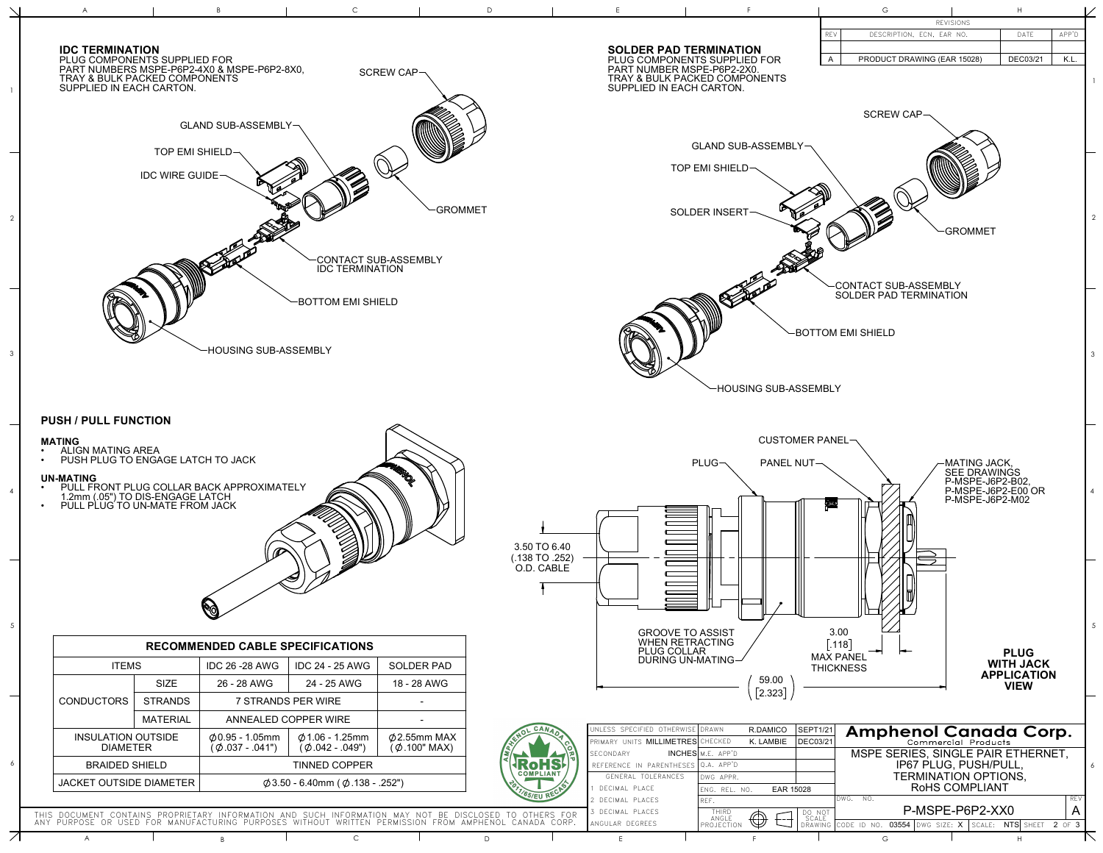

オ

5

4

3

 $\overline{2}$